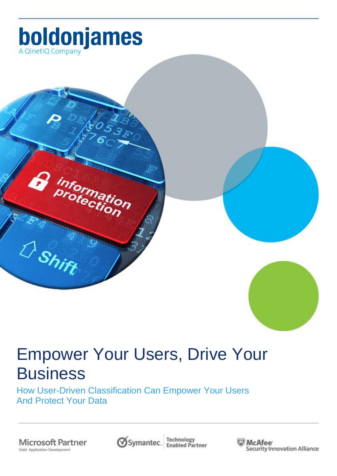

formation<br>otection

# Empower Your Users, Drive Your **Business**

How User-Driven Classification Can Empower Your Users And Protect Your Data

**Microsoft Partner**<br>Gold Application Development

D<sub>Shift</sub>



**Technology**<br>Enabled Partner

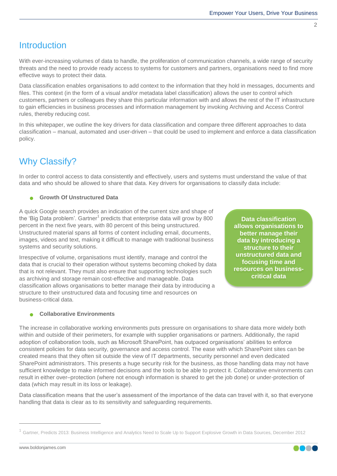# **Introduction**

With ever-increasing volumes of data to handle, the proliferation of communication channels, a wide range of security threats and the need to provide ready access to systems for customers and partners, organisations need to find more effective ways to protect their data.

Data classification enables organisations to add context to the information that they hold in messages, documents and files. This context (in the form of a visual and/or metadata label classification) allows the user to control which customers, partners or colleagues they share this particular information with and allows the rest of the IT infrastructure to gain efficiencies in business processes and information management by invoking Archiving and Access Control rules, thereby reducing cost.

In this whitepaper, we outline the key drivers for data classification and compare three different approaches to data classification – manual, automated and user-driven – that could be used to implement and enforce a data classification policy.

# Why Classify?

In order to control access to data consistently and effectively, users and systems must understand the value of that data and who should be allowed to share that data. Key drivers for organisations to classify data include:

#### **Growth Of Unstructured Data**

A quick Google search provides an indication of the current size and shape of the 'Big Data problem'. Gartner<sup>1</sup> predicts that enterprise data will grow by 800 percent in the next five years, with 80 percent of this being unstructured. Unstructured material spans all forms of content including email, documents, images, videos and text, making it difficult to manage with traditional business systems and security solutions.

Irrespective of volume, organisations must identify, manage and control the data that is crucial to their operation without systems becoming choked by data that is not relevant. They must also ensure that supporting technologies such as archiving and storage remain cost-effective and manageable. Data classification allows organisations to better manage their data by introducing a structure to their unstructured data and focusing time and resources on business-critical data.

**Data classification allows organisations to better manage their data by introducing a structure to their unstructured data and focusing time and resources on businesscritical data**

#### **Collaborative Environments**

The increase in collaborative working environments puts pressure on organisations to share data more widely both within and outside of their perimeters, for example with supplier organisations or partners. Additionally, the rapid adoption of collaboration tools, such as Microsoft SharePoint, has outpaced organisations" abilities to enforce consistent policies for data security, governance and access control. The ease with which SharePoint sites can be created means that they often sit outside the view of IT departments, security personnel and even dedicated SharePoint administrators. This presents a huge security risk for the business, as those handling data may not have sufficient knowledge to make informed decisions and the tools to be able to protect it. Collaborative environments can result in either over–protection (where not enough information is shared to get the job done) or under-protection of data (which may result in its loss or leakage).

Data classification means that the user"s assessment of the importance of the data can travel with it, so that everyone handling that data is clear as to its sensitivity and safeguarding requirements.

 $\overline{a}$ 



<sup>1</sup> Gartner, Predicts 2013: Business Intelligence and Analytics Need to Scale Up to Support Explosive Growth in Data Sources, December 2012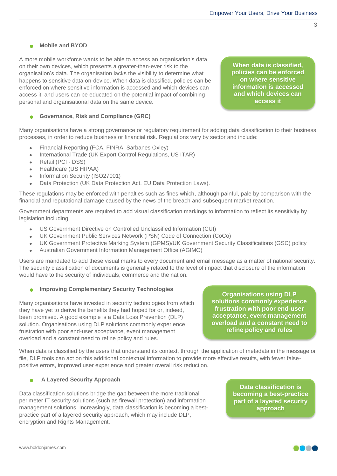3

#### **Mobile and BYOD**

A more mobile workforce wants to be able to access an organisation"s data on their own devices, which presents a greater-than-ever risk to the organisation"s data. The organisation lacks the visibility to determine what happens to sensitive data on-device. When data is classified, policies can be enforced on where sensitive information is accessed and which devices can access it, and users can be educated on the potential impact of combining personal and organisational data on the same device.

**When data is classified, policies can be enforced on where sensitive information is accessed and which devices can access it**

#### **Governance, Risk and Compliance (GRC)**

Many organisations have a strong governance or regulatory requirement for adding data classification to their business processes, in order to reduce business or financial risk. Regulations vary by sector and include:

- Financial Reporting (FCA, FINRA, Sarbanes Oxley)
- International Trade (UK Export Control Regulations, US ITAR)
- Retail (PCI DSS)
- Healthcare (US HIPAA)
- Information Security (ISO27001)
- Data Protection (UK Data Protection Act, EU Data Protection Laws).

These regulations may be enforced with penalties such as fines which, although painful, pale by comparison with the financial and reputational damage caused by the news of the breach and subsequent market reaction.

Government departments are required to add visual classification markings to information to reflect its sensitivity by legislation including:

- US Government Directive on Controlled Unclassified Information (CUI)
- UK Government Public Services Network (PSN) Code of Connection (CoCo)
- UK Government Protective Marking System (GPMS)/UK Government Security Classifications (GSC) policy
- Australian Government Information Management Office (AGIMO)

Users are mandated to add these visual marks to every document and email message as a matter of national security. The security classification of documents is generally related to the level of impact that disclosure of the information would have to the security of individuals, commerce and the nation.

#### **Improving Complementary Security Technologies**

Many organisations have invested in security technologies from which they have yet to derive the benefits they had hoped for or, indeed, been promised. A good example is a Data Loss Prevention (DLP) solution. Organisations using DLP solutions commonly experience frustration with poor end-user acceptance, event management overload and a constant need to refine policy and rules.

**Organisations using DLP solutions commonly experience frustration with poor end-user acceptance, event management overload and a constant need to refine policy and rules**

When data is classified by the users that understand its context, through the application of metadata in the message or file, DLP tools can act on this additional contextual information to provide more effective results, with fewer falsepositive errors, improved user experience and greater overall risk reduction.

#### **A Layered Security Approach**

Data classification solutions bridge the gap between the more traditional perimeter IT security solutions (such as firewall protection) and information management solutions. Increasingly, data classification is becoming a bestpractice part of a layered security approach, which may include DLP, encryption and Rights Management.

**Data classification is becoming a best-practice part of a layered security approach**

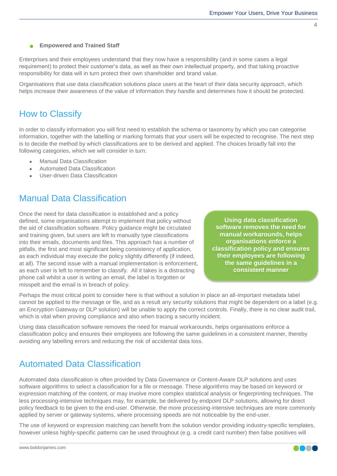$\Delta$ 

#### **Empowered and Trained Staff**

Enterprises and their employees understand that they now have a responsibility (and in some cases a legal requirement) to protect their customer"s data, as well as their own intellectual property, and that taking proactive responsibility for data will in turn protect their own shareholder and brand value.

Organisations that use data classification solutions place users at the heart of their data security approach, which helps increase their awareness of the value of information they handle and determines how it should be protected.

# How to Classify

In order to classify information you will first need to establish the schema or taxonomy by which you can categorise information, together with the labelling or marking formats that your users will be expected to recognise. The next step is to decide the method by which classifications are to be derived and applied. The choices broadly fall into the following categories, which we will consider in turn:

- Manual Data Classification
- Automated Data Classification
- User-driven Data Classification

# Manual Data Classification

Once the need for data classification is established and a policy defined, some organisations attempt to implement that policy without the aid of classification software. Policy guidance might be circulated and training given, but users are left to manually type classifications into their emails, documents and files. This approach has a number of pitfalls, the first and most significant being consistency of application, as each individual may execute the policy slightly differently (if indeed, at all). The second issue with a manual implementation is enforcement, as each user is left to remember to classify. All it takes is a distracting phone call whilst a user is writing an email, the label is forgotten or misspelt and the email is in breach of policy.

**Using data classification software removes the need for manual workarounds, helps organisations enforce a classification policy and ensures their employees are following the same guidelines in a consistent manner**

Perhaps the most critical point to consider here is that without a solution in place an all-important metadata label cannot be applied to the message or file, and as a result any security solutions that might be dependent on a label (e.g. an Encryption Gateway or DLP solution) will be unable to apply the correct controls. Finally, there is no clear audit trail, which is vital when proving compliance and also when tracing a security incident.

Using data classification software removes the need for manual workarounds, helps organisations enforce a classification policy and ensures their employees are following the same guidelines in a consistent manner, thereby avoiding any labelling errors and reducing the risk of accidental data loss.

# Automated Data Classification

Automated data classification is often provided by Data Governance or Content-Aware DLP solutions and uses software algorithms to select a classification for a file or message. These algorithms may be based on keyword or expression matching of the content, or may involve more complex statistical analysis or fingerprinting techniques. The less processing-intensive techniques may, for example, be delivered by endpoint DLP solutions, allowing for direct policy feedback to be given to the end-user. Otherwise, the more processing-intensive techniques are more commonly applied by server or gateway systems, where processing speeds are not noticeable by the end-user.

The use of keyword or expression matching can benefit from the solution vendor providing industry-specific templates, however unless highly-specific patterns can be used throughout (e.g. a credit card number) then false positives will

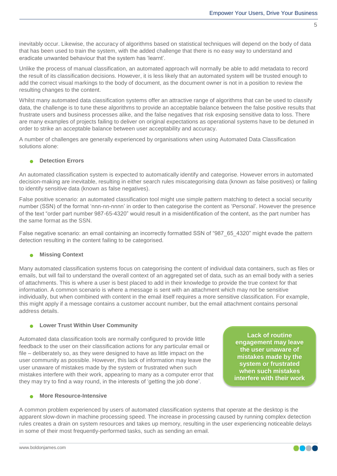inevitably occur. Likewise, the accuracy of algorithms based on statistical techniques will depend on the body of data that has been used to train the system, with the added challenge that there is no easy way to understand and eradicate unwanted behaviour that the system has "learnt".

Unlike the process of manual classification, an automated approach will normally be able to add metadata to record the result of its classification decisions. However, it is less likely that an automated system will be trusted enough to add the correct visual markings to the body of document, as the document owner is not in a position to review the resulting changes to the content.

Whilst many automated data classification systems offer an attractive range of algorithms that can be used to classify data, the challenge is to tune these algorithms to provide an acceptable balance between the false positive results that frustrate users and business processes alike, and the false negatives that risk exposing sensitive data to loss. There are many examples of projects failing to deliver on original expectations as operational systems have to be detuned in order to strike an acceptable balance between user acceptability and accuracy.

A number of challenges are generally experienced by organisations when using Automated Data Classification solutions alone:

#### **Detection Errors**

An automated classification system is expected to automatically identify and categorise. However errors in automated decision-making are inevitable, resulting in either search rules miscategorising data (known as false positives) or failing to identify sensitive data (known as false negatives).

False positive scenario: an automated classification tool might use simple pattern matching to detect a social security number (SSN) of the format "nnn-nn-nnnn" in order to then categorise the content as "Personal". However the presence of the text "order part number 987-65-4320" would result in a misidentification of the content, as the part number has the same format as the SSN.

False negative scenario: an email containing an incorrectly formatted SSN of "987 65 4320" might evade the pattern detection resulting in the content failing to be categorised.

#### **Missing Context**

Many automated classification systems focus on categorising the content of individual data containers, such as files or emails, but will fail to understand the overall context of an aggregated set of data, such as an email body with a series of attachments. This is where a user is best placed to add in their knowledge to provide the true context for that information. A common scenario is where a message is sent with an attachment which may not be sensitive individually, but when combined with content in the email itself requires a more sensitive classification. For example, this might apply if a message contains a customer account number, but the email attachment contains personal address details.

#### **Lower Trust Within User Community**

Automated data classification tools are normally configured to provide little feedback to the user on their classification actions for any particular email or file – deliberately so, as they were designed to have as little impact on the user community as possible. However, this lack of information may leave the user unaware of mistakes made by the system or frustrated when such mistakes interfere with their work, appearing to many as a computer error that they may try to find a way round, in the interests of "getting the job done".

**Lack of routine engagement may leave the user unaware of mistakes made by the system or frustrated when such mistakes interfere with their work**

#### **More Resource-Intensive**

A common problem experienced by users of automated classification systems that operate at the desktop is the apparent slow-down in machine processing speed. The increase in processing caused by running complex detection rules creates a drain on system resources and takes up memory, resulting in the user experiencing noticeable delays in some of their most frequently-performed tasks, such as sending an email.

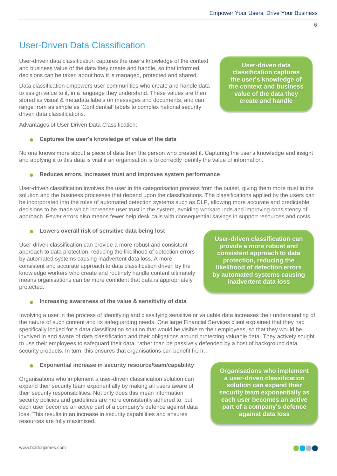6

### User-Driven Data Classification

User-driven data classification captures the user"s knowledge of the context and business value of the data they create and handle, so that informed decisions can be taken about how it is managed, protected and shared.

Data classification empowers user communities who create and handle data to assign value to it, in a language they understand. These values are then stored as visual & metadata labels on messages and documents, and can range from as simple as "Confidential" labels to complex national security driven data classifications.

Advantages of User-Driven Data Classification:

#### **Captures the user's knowledge of value of the data**

No one knows more about a piece of data than the person who created it. Capturing the user"s knowledge and insight and applying it to this data is vital if an organisation is to correctly identify the value of information.

#### **Reduces errors, increases trust and improves system performance**

User-driven classification involves the user in the categorisation process from the outset, giving them more trust in the solution and the business processes that depend upon the classifications. The classifications applied by the users can be incorporated into the rules of automated detection systems such as DLP, allowing more accurate and predictable decisions to be made which increases user trust in the system, avoiding workarounds and improving consistency of approach. Fewer errors also means fewer help desk calls with consequential savings in support resources and costs.

**Lowers overall risk of sensitive data being lost**

User-driven classification can provide a more robust and consistent approach to data protection, reducing the likelihood of detection errors by automated systems causing inadvertent data loss. A more consistent and accurate approach to data classification driven by the knowledge workers who create and routinely handle content ultimately means organisations can be more confident that data is appropriately protected.

#### **•** Increasing awareness of the value & sensitivity of data

Involving a user in the process of identifying and classifying sensitive or valuable data increases their understanding of the nature of such content and its safeguarding needs. One large Financial Services client explained that they had specifically looked for a data classification solution that would be visible to their employees, so that they would be involved in and aware of data classification and their obligations around protecting valuable data. They actively sought to use their employees to safeguard their data, rather than be passively defended by a host of background data security products. In turn, this ensures that organisations can benefit from...

#### **Exponential increase in security resource/team/capability**

Organisations who implement a user-driven classification solution can expand their security team exponentially by making all users aware of their security responsibilities. Not only does this mean information security policies and guidelines are more consistently adhered to, but each user becomes an active part of a company's defence against data loss. This results in an increase in security capabilities and ensures resources are fully maximised.

**Organisations who implement a user-driven classification solution can expand their security team exponentially as each user becomes an active part of a company's defence against data loss**

**User-driven classification can provide a more robust and consistent approach to data** 

**protection, reducing the likelihood of detection errors by automated systems causing inadvertent data loss**